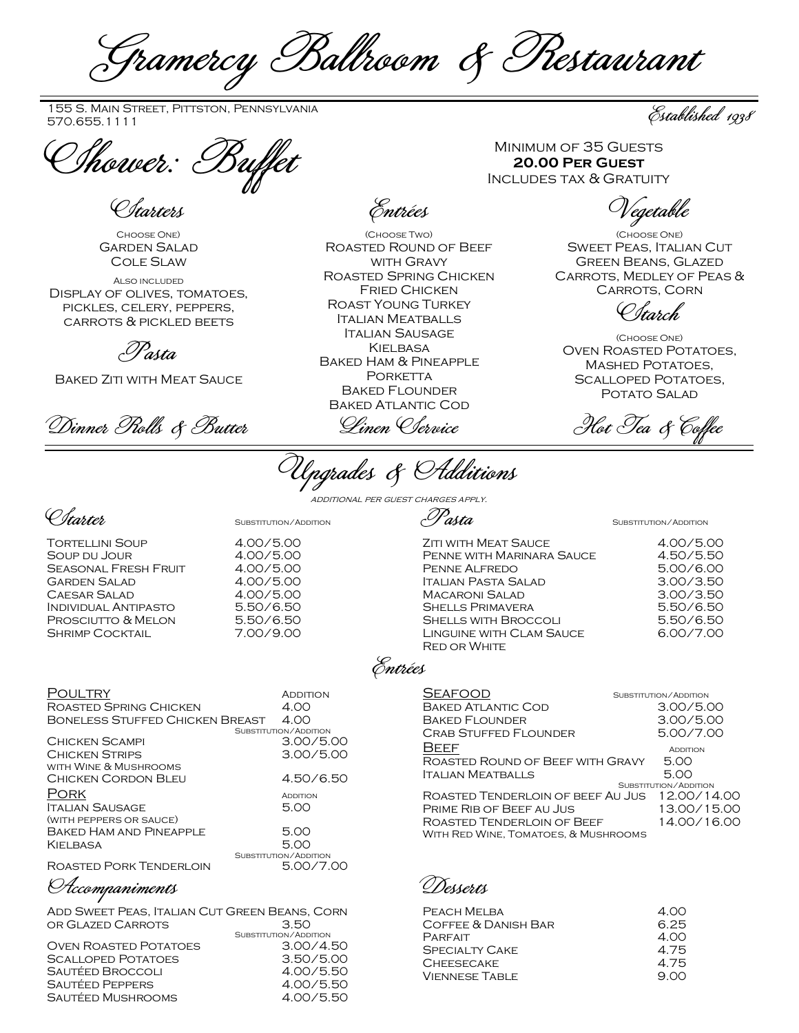Gramercy Ballroom & Restaurant

155 S. Main Street, Pittston, Pennsylvania<br>570.655.1111

*Chower: Buffet* MINIMUM OF 35 GUESTS<br>20.00 PER GUEST

Starters

Choose One) Garden Salad Cole Slaw

Also included Display of olives, tomatoes, pickles, celery, peppers, carrots & pickled beets

Pasta

Baked Ziti with Meat Sauce

Dinner Prolls & Butter Linen Clervice Hot Tea & Coffee

Entrées

(Choose Two) Roasted Round of Beef with Gravy Roasted Spring Chicken Fried Chicken Roast Young Turkey Italian Meatballs Italian Sausage **KIELBASA** Baked Ham & Pineapple PORKETTA Baked Flounder Baked Atlantic Cod

Upgrades & Additions

additional per guest charges apply.

C*starter* Substitution/Addition

Tortellini Soup 14.00/5.00<br>Soup du Jour 14.00/5.00 SOUP DU JOUR SEASONAL FRESH FRUIT 4.00/5.00<br>GARDEN SALAD 4.00/5.00 GARDEN SALAD 4.00/5.00<br>CAESAR SALAD 4.00/5.00 Caesar Salad 4.00/5.00 Individual Antipasto 5.50/6.50 PROSCIUTTO & MELON 5.50/6.50 SHRIMP COCKTAIL 7.00/9.00

| )ULTRY<br>ROASTED SPRING CHICKEN<br>BONELESS STUFFED CHICKEN BREAST | <b>ADDITION</b><br>4.00<br>4.00 |
|---------------------------------------------------------------------|---------------------------------|
|                                                                     | SUBSTITUTION / ADDITION         |
| CHICKEN SCAMPI                                                      | 3.00/5.00                       |
| <b>CHICKEN STRIPS</b>                                               | 3.00/5.00                       |
| WITH WINE & MUSHROOMS                                               |                                 |
| Chicken Cordon Bi fu                                                | 4.50/6.50                       |
| 'ORK                                                                | <b>ADDITION</b>                 |
| <b>ITALIAN SAUSAGE</b>                                              | 5.00                            |
| (WITH PEPPERS OR SAUCE)                                             |                                 |
| BAKED HAM AND PINEAPPLE                                             | 5.00                            |
| KIELBASA                                                            | 5.00                            |
|                                                                     | SUBSTITUTION/ADDITION           |
| Do Letter Dory Tellberl oil!                                        | E AA 77 AA                      |

Roasted Pork Tenderloin 5.00/7.00

Accompaniments

Add Sweet Peas, Italian Cut Green Beans, Corn or Glazed Carrots 3.50

|                              | SUBSTITUTION/ADDITION |
|------------------------------|-----------------------|
| <b>OVEN ROASTED POTATOES</b> | 3.00/4.50             |
| <b>SCALLOPED POTATOES</b>    | 3.50/5.00             |
| Sautéed Broccoli             | 4.00/5.50             |
| <b>SAUTÉED PEPPERS</b>       | 4.00/5.50             |
| SAUTÉED MUSHROOMS            | 4.00/5.50             |
|                              |                       |

 $\mathscr{P}$ asta  $\mathscr{S}$ 

| <b>ZITI WITH MEAT SAUCE</b> | 4.00/5.00 |
|-----------------------------|-----------|
| PENNE WITH MARINARA SAUCE   | 4.50/5.50 |
| PENNE ALFREDO               | 5.00/6.00 |
| <b>ITALIAN PASTA SALAD</b>  | 3.00/3.50 |
| <b>MACARONI SALAD</b>       | 3.00/3.50 |
| <b>SHELLS PRIMAVERA</b>     | 5.50/6.50 |
| <b>SHELLS WITH BROCCOLI</b> | 5.50/6.50 |
| LINGUINE WITH CLAM SAUCE    | 6.00/7.00 |
| <b>RED OR WHITE</b>         |           |
|                             |           |

Entrées

| <b>SEAFOOD</b>                       | SUBSTITUTION/ADDITION |
|--------------------------------------|-----------------------|
| <b>BAKED ATLANTIC COD</b>            | 3.00/5.00             |
| <b>BAKED FLOUNDER</b>                | 3.00/5.00             |
| <b>CRAB STUFFED FLOUNDER</b>         | 5.00/7.00             |
| BEEF                                 | <b>ADDITION</b>       |
| ROASTED ROUND OF BEEF WITH GRAVY     | 5.00                  |
| ITALIAN MEATBALLS                    | 5.00                  |
|                                      | SUBSTITUTION/ADDITION |
| ROASTED TENDERLOIN OF BEEF AU JUS    | 12.00/14.00           |
| PRIME RIB OF BEEF AU JUS             | 13.00/15.00           |
| ROASTED TENDERLOIN OF BEEF           | 14.00/16.00           |
| WITH RED WINE, TOMATOES, & MUSHROOMS |                       |

Desserts

| PEACH MELBA           | 4.00 |
|-----------------------|------|
| COFFEE & DANISH BAR   | 6.25 |
| PARFAIT               | 4.00 |
| <b>SPECIALTY CAKE</b> | 4.75 |
| <b>CHEESECAKE</b>     | 4.75 |
| <b>VIENNESE TABLE</b> | 9.00 |
|                       |      |

Established 1938

**20.00 Per Guest** Includes tax & Gratuity

Vegetable

(Choose One) Sweet Peas, Italian Cut Green Beans, Glazed Carrots, Medley of Peas & Carrots, Corn

Starch

(Choose One) Oven Roasted Potatoes, Mashed Potatoes, SCALLOPED POTATOES. POTATO SALAD